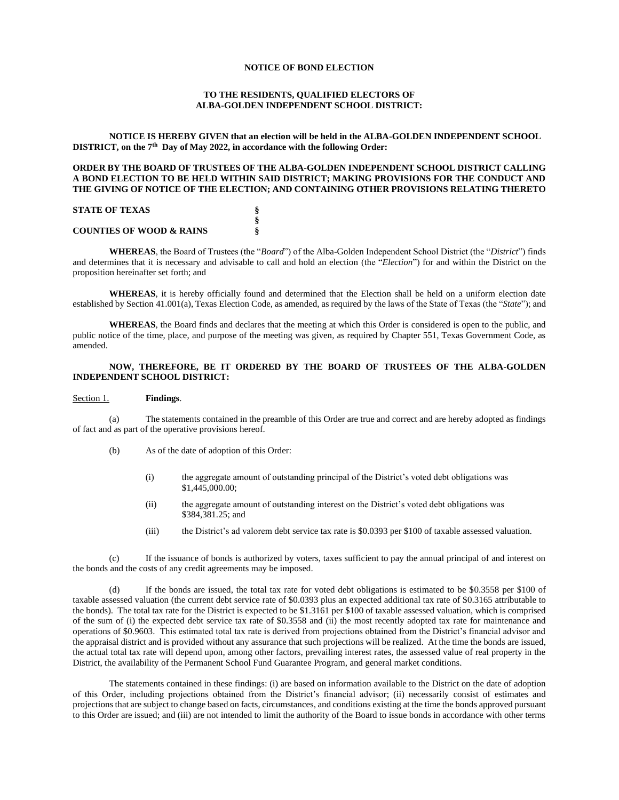# **NOTICE OF BOND ELECTION**

# **TO THE RESIDENTS, QUALIFIED ELECTORS OF ALBA-GOLDEN INDEPENDENT SCHOOL DISTRICT:**

**NOTICE IS HEREBY GIVEN that an election will be held in the ALBA-GOLDEN INDEPENDENT SCHOOL DISTRICT, on the 7th Day of May 2022, in accordance with the following Order:**

## **ORDER BY THE BOARD OF TRUSTEES OF THE ALBA-GOLDEN INDEPENDENT SCHOOL DISTRICT CALLING A BOND ELECTION TO BE HELD WITHIN SAID DISTRICT; MAKING PROVISIONS FOR THE CONDUCT AND THE GIVING OF NOTICE OF THE ELECTION; AND CONTAINING OTHER PROVISIONS RELATING THERETO**

## **STATE OF TEXAS §**

#### **COUNTIES OF WOOD & RAINS §**

**WHEREAS**, the Board of Trustees (the "*Board*") of the Alba-Golden Independent School District (the "*District*") finds and determines that it is necessary and advisable to call and hold an election (the "*Election*") for and within the District on the proposition hereinafter set forth; and

**§**

**WHEREAS**, it is hereby officially found and determined that the Election shall be held on a uniform election date established by Section 41.001(a), Texas Election Code, as amended, as required by the laws of the State of Texas (the "*State*"); and

**WHEREAS**, the Board finds and declares that the meeting at which this Order is considered is open to the public, and public notice of the time, place, and purpose of the meeting was given, as required by Chapter 551, Texas Government Code, as amended.

# **NOW, THEREFORE, BE IT ORDERED BY THE BOARD OF TRUSTEES OF THE ALBA-GOLDEN INDEPENDENT SCHOOL DISTRICT:**

### Section 1. **Findings**.

(a) The statements contained in the preamble of this Order are true and correct and are hereby adopted as findings of fact and as part of the operative provisions hereof.

- (b) As of the date of adoption of this Order:
	- (i) the aggregate amount of outstanding principal of the District's voted debt obligations was \$1,445,000.00;
	- (ii) the aggregate amount of outstanding interest on the District's voted debt obligations was \$384,381.25; and
	- (iii) the District's ad valorem debt service tax rate is \$0.0393 per \$100 of taxable assessed valuation.

(c) If the issuance of bonds is authorized by voters, taxes sufficient to pay the annual principal of and interest on the bonds and the costs of any credit agreements may be imposed.

(d) If the bonds are issued, the total tax rate for voted debt obligations is estimated to be \$0.3558 per \$100 of taxable assessed valuation (the current debt service rate of \$0.0393 plus an expected additional tax rate of \$0.3165 attributable to the bonds). The total tax rate for the District is expected to be \$1.3161 per \$100 of taxable assessed valuation, which is comprised of the sum of (i) the expected debt service tax rate of \$0.3558 and (ii) the most recently adopted tax rate for maintenance and operations of \$0.9603. This estimated total tax rate is derived from projections obtained from the District's financial advisor and the appraisal district and is provided without any assurance that such projections will be realized. At the time the bonds are issued, the actual total tax rate will depend upon, among other factors, prevailing interest rates, the assessed value of real property in the District, the availability of the Permanent School Fund Guarantee Program, and general market conditions.

The statements contained in these findings: (i) are based on information available to the District on the date of adoption of this Order, including projections obtained from the District's financial advisor; (ii) necessarily consist of estimates and projections that are subject to change based on facts, circumstances, and conditions existing at the time the bonds approved pursuant to this Order are issued; and (iii) are not intended to limit the authority of the Board to issue bonds in accordance with other terms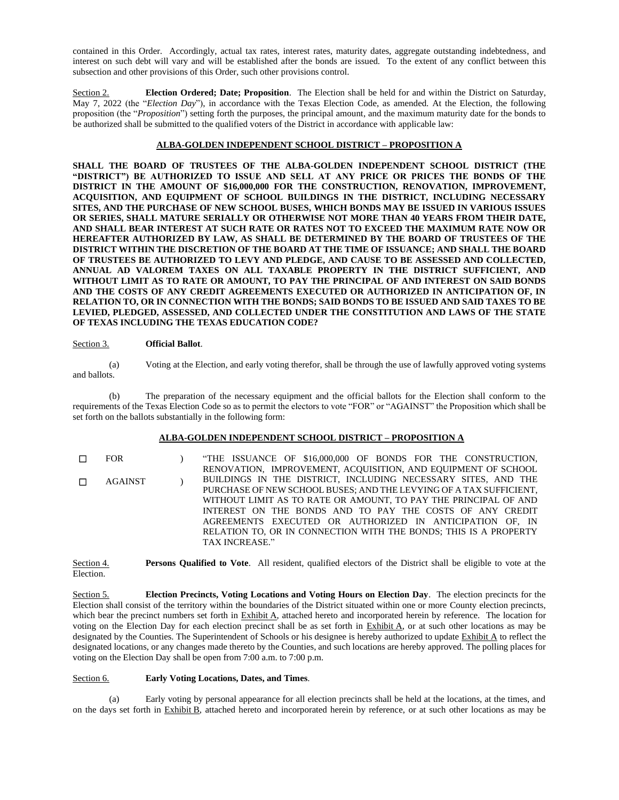contained in this Order. Accordingly, actual tax rates, interest rates, maturity dates, aggregate outstanding indebtedness, and interest on such debt will vary and will be established after the bonds are issued. To the extent of any conflict between this subsection and other provisions of this Order, such other provisions control.

Section 2. **Election Ordered; Date; Proposition**. The Election shall be held for and within the District on Saturday, May 7, 2022 (the "*Election Day*"), in accordance with the Texas Election Code, as amended. At the Election, the following proposition (the "*Proposition*") setting forth the purposes, the principal amount, and the maximum maturity date for the bonds to be authorized shall be submitted to the qualified voters of the District in accordance with applicable law:

# **ALBA-GOLDEN INDEPENDENT SCHOOL DISTRICT – PROPOSITION A**

**SHALL THE BOARD OF TRUSTEES OF THE ALBA-GOLDEN INDEPENDENT SCHOOL DISTRICT (THE "DISTRICT") BE AUTHORIZED TO ISSUE AND SELL AT ANY PRICE OR PRICES THE BONDS OF THE DISTRICT IN THE AMOUNT OF \$16,000,000 FOR THE CONSTRUCTION, RENOVATION, IMPROVEMENT, ACQUISITION, AND EQUIPMENT OF SCHOOL BUILDINGS IN THE DISTRICT, INCLUDING NECESSARY SITES, AND THE PURCHASE OF NEW SCHOOL BUSES, WHICH BONDS MAY BE ISSUED IN VARIOUS ISSUES OR SERIES, SHALL MATURE SERIALLY OR OTHERWISE NOT MORE THAN 40 YEARS FROM THEIR DATE, AND SHALL BEAR INTEREST AT SUCH RATE OR RATES NOT TO EXCEED THE MAXIMUM RATE NOW OR HEREAFTER AUTHORIZED BY LAW, AS SHALL BE DETERMINED BY THE BOARD OF TRUSTEES OF THE DISTRICT WITHIN THE DISCRETION OF THE BOARD AT THE TIME OF ISSUANCE; AND SHALL THE BOARD OF TRUSTEES BE AUTHORIZED TO LEVY AND PLEDGE, AND CAUSE TO BE ASSESSED AND COLLECTED, ANNUAL AD VALOREM TAXES ON ALL TAXABLE PROPERTY IN THE DISTRICT SUFFICIENT, AND WITHOUT LIMIT AS TO RATE OR AMOUNT, TO PAY THE PRINCIPAL OF AND INTEREST ON SAID BONDS AND THE COSTS OF ANY CREDIT AGREEMENTS EXECUTED OR AUTHORIZED IN ANTICIPATION OF, IN RELATION TO, OR IN CONNECTION WITH THE BONDS; SAID BONDS TO BE ISSUED AND SAID TAXES TO BE LEVIED, PLEDGED, ASSESSED, AND COLLECTED UNDER THE CONSTITUTION AND LAWS OF THE STATE OF TEXAS INCLUDING THE TEXAS EDUCATION CODE?**

## Section 3. **Official Ballot**.

(a) Voting at the Election, and early voting therefor, shall be through the use of lawfully approved voting systems and ballots.

(b) The preparation of the necessary equipment and the official ballots for the Election shall conform to the requirements of the Texas Election Code so as to permit the electors to vote "FOR" or "AGAINST" the Proposition which shall be set forth on the ballots substantially in the following form:

## **ALBA-GOLDEN INDEPENDENT SCHOOL DISTRICT – PROPOSITION A**

☐ FOR ) "THE ISSUANCE OF \$16,000,000 OF BONDS FOR THE CONSTRUCTION, RENOVATION, IMPROVEMENT, ACQUISITION, AND EQUIPMENT OF SCHOOL BUILDINGS IN THE DISTRICT, INCLUDING NECESSARY SITES, AND THE PURCHASE OF NEW SCHOOL BUSES; AND THE LEVYING OF A TAX SUFFICIENT, WITHOUT LIMIT AS TO RATE OR AMOUNT, TO PAY THE PRINCIPAL OF AND INTEREST ON THE BONDS AND TO PAY THE COSTS OF ANY CREDIT AGREEMENTS EXECUTED OR AUTHORIZED IN ANTICIPATION OF, IN RELATION TO, OR IN CONNECTION WITH THE BONDS; THIS IS A PROPERTY TAX INCREASE." ☐ AGAINST )

Section 4. **Persons Qualified to Vote**. All resident, qualified electors of the District shall be eligible to vote at the Election.

Section 5. **Election Precincts, Voting Locations and Voting Hours on Election Day**. The election precincts for the Election shall consist of the territory within the boundaries of the District situated within one or more County election precincts, which bear the precinct numbers set forth in Exhibit A, attached hereto and incorporated herein by reference. The location for voting on the Election Day for each election precinct shall be as set forth in Exhibit A, or at such other locations as may be designated by the Counties. The Superintendent of Schools or his designee is hereby authorized to update Exhibit A to reflect the designated locations, or any changes made thereto by the Counties, and such locations are hereby approved. The polling places for voting on the Election Day shall be open from 7:00 a.m. to 7:00 p.m.

# Section 6. **Early Voting Locations, Dates, and Times**.

(a) Early voting by personal appearance for all election precincts shall be held at the locations, at the times, and on the days set forth in Exhibit B, attached hereto and incorporated herein by reference, or at such other locations as may be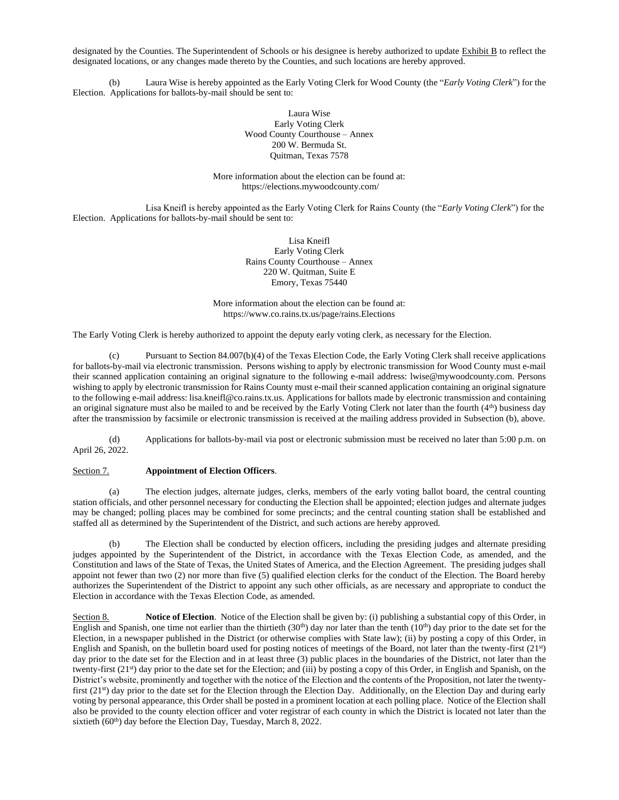designated by the Counties. The Superintendent of Schools or his designee is hereby authorized to update Exhibit B to reflect the designated locations, or any changes made thereto by the Counties, and such locations are hereby approved.

(b) Laura Wise is hereby appointed as the Early Voting Clerk for Wood County (the "*Early Voting Clerk*") for the Election. Applications for ballots-by-mail should be sent to:

> Laura Wise Early Voting Clerk Wood County Courthouse – Annex 200 W. Bermuda St. Quitman, Texas 7578

More information about the election can be found at: https://elections.mywoodcounty.com/

Lisa Kneifl is hereby appointed as the Early Voting Clerk for Rains County (the "*Early Voting Clerk*") for the Election. Applications for ballots-by-mail should be sent to:

> Lisa Kneifl Early Voting Clerk Rains County Courthouse – Annex 220 W. Quitman, Suite E Emory, Texas 75440

More information about the election can be found at: https://www.co.rains.tx.us/page/rains.Elections

The Early Voting Clerk is hereby authorized to appoint the deputy early voting clerk, as necessary for the Election.

(c) Pursuant to Section 84.007(b)(4) of the Texas Election Code, the Early Voting Clerk shall receive applications for ballots-by-mail via electronic transmission. Persons wishing to apply by electronic transmission for Wood County must e-mail their scanned application containing an original signature to the following e-mail address: lwise@mywoodcounty.com. Persons wishing to apply by electronic transmission for Rains County must e-mail their scanned application containing an original signature to the following e-mail address: lisa.kneifl@co.rains.tx.us. Applications for ballots made by electronic transmission and containing an original signature must also be mailed to and be received by the Early Voting Clerk not later than the fourth  $(4<sup>th</sup>)$  business day after the transmission by facsimile or electronic transmission is received at the mailing address provided in Subsection (b), above.

(d) Applications for ballots-by-mail via post or electronic submission must be received no later than 5:00 p.m. on April 26, 2022.

# Section 7. **Appointment of Election Officers**.

(a) The election judges, alternate judges, clerks, members of the early voting ballot board, the central counting station officials, and other personnel necessary for conducting the Election shall be appointed; election judges and alternate judges may be changed; polling places may be combined for some precincts; and the central counting station shall be established and staffed all as determined by the Superintendent of the District, and such actions are hereby approved.

(b) The Election shall be conducted by election officers, including the presiding judges and alternate presiding judges appointed by the Superintendent of the District, in accordance with the Texas Election Code, as amended, and the Constitution and laws of the State of Texas, the United States of America, and the Election Agreement. The presiding judges shall appoint not fewer than two (2) nor more than five (5) qualified election clerks for the conduct of the Election. The Board hereby authorizes the Superintendent of the District to appoint any such other officials, as are necessary and appropriate to conduct the Election in accordance with the Texas Election Code, as amended.

Section 8. **Notice of Election**. Notice of the Election shall be given by: (i) publishing a substantial copy of this Order, in English and Spanish, one time not earlier than the thirtieth  $(30<sup>th</sup>)$  day nor later than the tenth  $(10<sup>th</sup>)$  day prior to the date set for the Election, in a newspaper published in the District (or otherwise complies with State law); (ii) by posting a copy of this Order, in English and Spanish, on the bulletin board used for posting notices of meetings of the Board, not later than the twenty-first (21st) day prior to the date set for the Election and in at least three (3) public places in the boundaries of the District, not later than the twenty-first (21<sup>st</sup>) day prior to the date set for the Election; and (iii) by posting a copy of this Order, in English and Spanish, on the District's website, prominently and together with the notice of the Election and the contents of the Proposition, not later the twentyfirst  $(21^{st})$  day prior to the date set for the Election through the Election Day. Additionally, on the Election Day and during early voting by personal appearance, this Order shall be posted in a prominent location at each polling place. Notice of the Election shall also be provided to the county election officer and voter registrar of each county in which the District is located not later than the sixtieth (60<sup>th</sup>) day before the Election Day, Tuesday, March 8, 2022.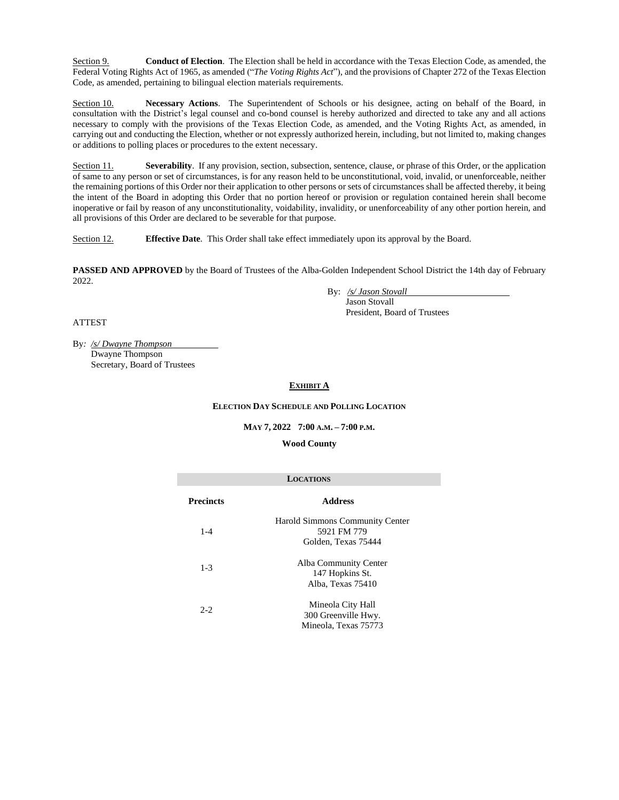Section 9. **Conduct of Election**. The Election shall be held in accordance with the Texas Election Code, as amended, the Federal Voting Rights Act of 1965, as amended ("*The Voting Rights Act*"), and the provisions of Chapter 272 of the Texas Election Code, as amended, pertaining to bilingual election materials requirements.

Section 10. **Necessary Actions**. The Superintendent of Schools or his designee, acting on behalf of the Board, in consultation with the District's legal counsel and co-bond counsel is hereby authorized and directed to take any and all actions necessary to comply with the provisions of the Texas Election Code, as amended, and the Voting Rights Act, as amended, in carrying out and conducting the Election, whether or not expressly authorized herein, including, but not limited to, making changes or additions to polling places or procedures to the extent necessary.

Section 11. **Severability**. If any provision, section, subsection, sentence, clause, or phrase of this Order, or the application of same to any person or set of circumstances, is for any reason held to be unconstitutional, void, invalid, or unenforceable, neither the remaining portions of this Order nor their application to other persons or sets of circumstances shall be affected thereby, it being the intent of the Board in adopting this Order that no portion hereof or provision or regulation contained herein shall become inoperative or fail by reason of any unconstitutionality, voidability, invalidity, or unenforceability of any other portion herein, and all provisions of this Order are declared to be severable for that purpose.

Section 12. **Effective Date**. This Order shall take effect immediately upon its approval by the Board.

**PASSED AND APPROVED** by the Board of Trustees of the Alba-Golden Independent School District the 14th day of February 2022.

> By: */s/ Jason Stovall* Jason Stovall President, Board of Trustees

# ATTEST

By*: /s/ Dwayne Thompson* Dwayne Thompson Secretary, Board of Trustees

# **EXHIBIT A**

# **ELECTION DAY SCHEDULE AND POLLING LOCATION**

## **MAY 7, 2022 7:00 A.M. – 7:00 P.M.**

## **Wood County**

| <b>LOCATIONS</b> |                                                                       |  |  |  |
|------------------|-----------------------------------------------------------------------|--|--|--|
| <b>Precincts</b> | <b>Address</b>                                                        |  |  |  |
| $1 - 4$          | Harold Simmons Community Center<br>5921 FM 779<br>Golden, Texas 75444 |  |  |  |
| $1 - 3$          | Alba Community Center<br>147 Hopkins St.<br>Alba. Texas 75410         |  |  |  |
| $2 - 2$          | Mineola City Hall<br>300 Greenville Hwy.<br>Mineola, Texas 75773      |  |  |  |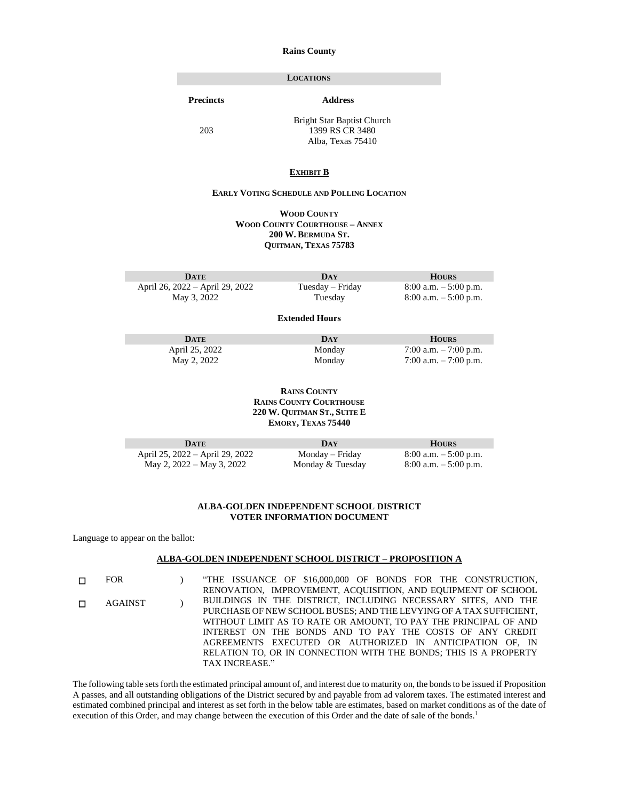### **Rains County**

## **LOCATIONS**

**Precincts Address**

203

Bright Star Baptist Church 1399 RS CR 3480 Alba, Texas 75410

## **EXHIBIT B**

# **EARLY VOTING SCHEDULE AND POLLING LOCATION**

**WOOD COUNTY WOOD COUNTY COURTHOUSE – ANNEX 200 W. BERMUDA ST. QUITMAN, TEXAS 75783**

**DATE DAY HOURS** April 26, 2022 – April 29, 2022 Tuesday – Friday 8:00 a.m. – 5:00 p.m. May 3, 2022 Tuesday 8:00 a.m. – 5:00 p.m.

#### **Extended Hours**

**DATE DAY HOURS** April 25, 2022 Monday 7:00 a.m. – 7:00 p.m.<br>May 2, 2022 Monday 7:00 a.m. – 7:00 p.m.  $7:00$  a.m.  $-7:00$  p.m.

> **RAINS COUNTY RAINS COUNTY COURTHOUSE 220 W. QUITMAN ST., SUITE E EMORY, TEXAS 75440**

| DATE                            | DAY              | <b>HOURS</b>             |
|---------------------------------|------------------|--------------------------|
| April 25, 2022 – April 29, 2022 | Monday – Friday  | $8:00$ a.m. $-5:00$ p.m. |
| May 2, 2022 – May 3, 2022       | Monday & Tuesday | $8:00$ a.m. $-5:00$ p.m. |

### **ALBA-GOLDEN INDEPENDENT SCHOOL DISTRICT VOTER INFORMATION DOCUMENT**

Language to appear on the ballot:

П

#### **ALBA-GOLDEN INDEPENDENT SCHOOL DISTRICT – PROPOSITION A**

☐ FOR ) "THE ISSUANCE OF \$16,000,000 OF BONDS FOR THE CONSTRUCTION, RENOVATION, IMPROVEMENT, ACQUISITION, AND EQUIPMENT OF SCHOOL BUILDINGS IN THE DISTRICT, INCLUDING NECESSARY SITES, AND THE PURCHASE OF NEW SCHOOL BUSES; AND THE LEVYING OF A TAX SUFFICIENT, WITHOUT LIMIT AS TO RATE OR AMOUNT, TO PAY THE PRINCIPAL OF AND INTEREST ON THE BONDS AND TO PAY THE COSTS OF ANY CREDIT AGREEMENTS EXECUTED OR AUTHORIZED IN ANTICIPATION OF, IN RELATION TO, OR IN CONNECTION WITH THE BONDS; THIS IS A PROPERTY TAX INCREASE." ☐ AGAINST )

The following table sets forth the estimated principal amount of, and interest due to maturity on, the bonds to be issued if Proposition A passes, and all outstanding obligations of the District secured by and payable from ad valorem taxes. The estimated interest and estimated combined principal and interest as set forth in the below table are estimates, based on market conditions as of the date of execution of this Order, and may change between the execution of this Order and the date of sale of the bonds.<sup>1</sup>